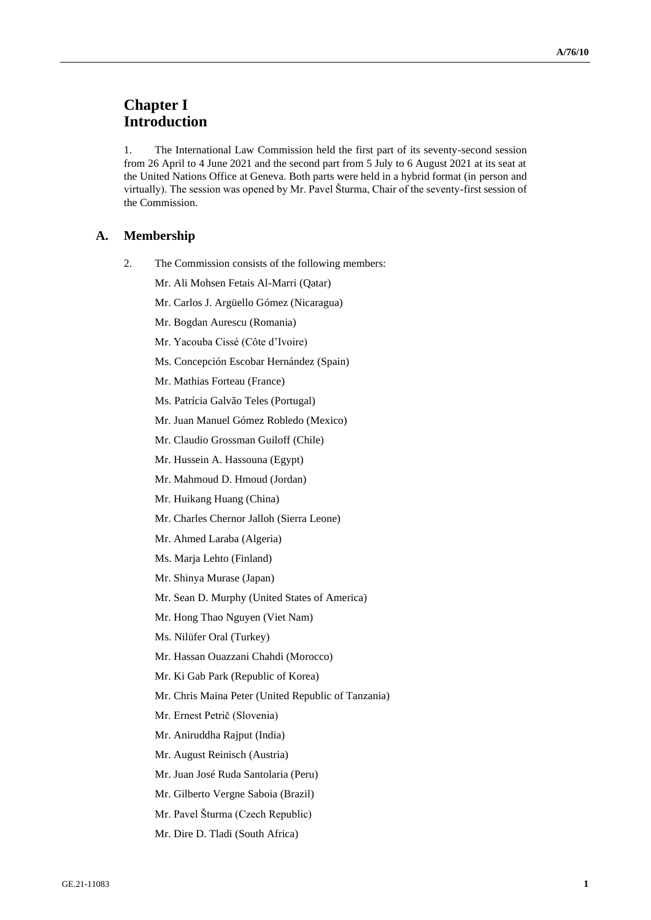# **Chapter I Introduction**

1. The International Law Commission held the first part of its seventy-second session from 26 April to 4 June 2021 and the second part from 5 July to 6 August 2021 at its seat at the United Nations Office at Geneva. Both parts were held in a hybrid format (in person and virtually). The session was opened by Mr. Pavel Šturma, Chair of the seventy-first session of the Commission.

## **A. Membership**

- 2. The Commission consists of the following members:
	- Mr. Ali Mohsen Fetais Al-Marri (Qatar)
	- Mr. Carlos J. Argüello Gómez (Nicaragua)
	- Mr. Bogdan Aurescu (Romania)
	- Mr. Yacouba Cissé (Côte d'Ivoire)
	- Ms. Concepción Escobar Hernández (Spain)
	- Mr. Mathias Forteau (France)
	- Ms. Patrícia Galvão Teles (Portugal)
	- Mr. Juan Manuel Gómez Robledo (Mexico)
	- Mr. Claudio Grossman Guiloff (Chile)
	- Mr. Hussein A. Hassouna (Egypt)
	- Mr. Mahmoud D. Hmoud (Jordan)
	- Mr. Huikang Huang (China)
	- Mr. Charles Chernor Jalloh (Sierra Leone)
	- Mr. Ahmed Laraba (Algeria)
	- Ms. Marja Lehto (Finland)
	- Mr. Shinya Murase (Japan)
	- Mr. Sean D. Murphy (United States of America)
	- Mr. Hong Thao Nguyen (Viet Nam)
	- Ms. Nilüfer Oral (Turkey)
	- Mr. Hassan Ouazzani Chahdi (Morocco)
	- Mr. Ki Gab Park (Republic of Korea)
	- Mr. Chris Maina Peter (United Republic of Tanzania)
	- Mr. Ernest Petrič (Slovenia)
	- Mr. Aniruddha Rajput (India)
	- Mr. August Reinisch (Austria)
	- Mr. Juan José Ruda Santolaria (Peru)
	- Mr. Gilberto Vergne Saboia (Brazil)
	- Mr. Pavel Šturma (Czech Republic)
	- Mr. Dire D. Tladi (South Africa)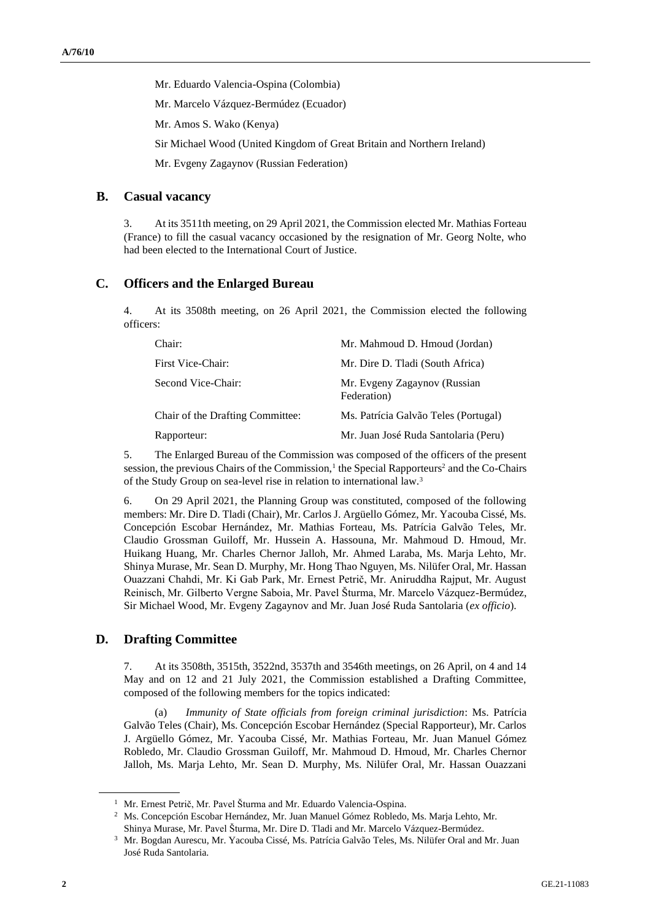Mr. Eduardo Valencia-Ospina (Colombia)

Mr. Marcelo Vázquez-Bermúdez (Ecuador)

Mr. Amos S. Wako (Kenya)

Sir Michael Wood (United Kingdom of Great Britain and Northern Ireland)

Mr. Evgeny Zagaynov (Russian Federation)

# **B. Casual vacancy**

3. At its 3511th meeting, on 29 April 2021, the Commission elected Mr. Mathias Forteau (France) to fill the casual vacancy occasioned by the resignation of Mr. Georg Nolte, who had been elected to the International Court of Justice.

# **C. Officers and the Enlarged Bureau**

4. At its 3508th meeting, on 26 April 2021, the Commission elected the following officers:

| Chair:                           | Mr. Mahmoud D. Hmoud (Jordan)               |
|----------------------------------|---------------------------------------------|
| First Vice-Chair:                | Mr. Dire D. Tladi (South Africa)            |
| Second Vice-Chair:               | Mr. Evgeny Zagaynov (Russian<br>Federation) |
| Chair of the Drafting Committee: | Ms. Patrícia Galvão Teles (Portugal)        |
| Rapporteur:                      | Mr. Juan José Ruda Santolaria (Peru)        |

5. The Enlarged Bureau of the Commission was composed of the officers of the present session, the previous Chairs of the Commission,<sup>1</sup> the Special Rapporteurs<sup>2</sup> and the Co-Chairs of the Study Group on sea-level rise in relation to international law.<sup>3</sup>

6. On 29 April 2021, the Planning Group was constituted, composed of the following members: Mr. Dire D. Tladi (Chair), Mr. Carlos J. Argüello Gómez, Mr. Yacouba Cissé, Ms. Concepción Escobar Hernández, Mr. Mathias Forteau, Ms. Patrícia Galvão Teles, Mr. Claudio Grossman Guiloff, Mr. Hussein A. Hassouna, Mr. Mahmoud D. Hmoud, Mr. Huikang Huang, Mr. Charles Chernor Jalloh, Mr. Ahmed Laraba, Ms. Marja Lehto, Mr. Shinya Murase, Mr. Sean D. Murphy, Mr. Hong Thao Nguyen, Ms. Nilüfer Oral, Mr. Hassan Ouazzani Chahdi, Mr. Ki Gab Park, Mr. Ernest Petrič, Mr. Aniruddha Rajput, Mr. August Reinisch, Mr. Gilberto Vergne Saboia, Mr. Pavel Šturma, Mr. Marcelo Vázquez-Bermúdez, Sir Michael Wood, Mr. Evgeny Zagaynov and Mr. Juan José Ruda Santolaria (*ex officio*).

# **D. Drafting Committee**

7. At its 3508th, 3515th, 3522nd, 3537th and 3546th meetings, on 26 April, on 4 and 14 May and on 12 and 21 July 2021, the Commission established a Drafting Committee, composed of the following members for the topics indicated:

(a) *Immunity of State officials from foreign criminal jurisdiction*: Ms. Patrícia Galvão Teles (Chair), Ms. Concepción Escobar Hernández (Special Rapporteur), Mr. Carlos J. Argüello Gómez, Mr. Yacouba Cissé, Mr. Mathias Forteau, Mr. Juan Manuel Gómez Robledo, Mr. Claudio Grossman Guiloff, Mr. Mahmoud D. Hmoud, Mr. Charles Chernor Jalloh, Ms. Marja Lehto, Mr. Sean D. Murphy, Ms. Nilüfer Oral, Mr. Hassan Ouazzani

<sup>&</sup>lt;sup>1</sup> Mr. Ernest Petrič, Mr. Pavel Šturma and Mr. Eduardo Valencia-Ospina.

<sup>2</sup> Ms. Concepción Escobar Hernández, Mr. Juan Manuel Gómez Robledo, Ms. Marja Lehto, Mr. Shinya Murase, Mr. Pavel Šturma, Mr. Dire D. Tladi and Mr. Marcelo Vázquez-Bermúdez.

<sup>3</sup> Mr. Bogdan Aurescu, Mr. Yacouba Cissé, Ms. Patrícia Galvão Teles, Ms. Nilüfer Oral and Mr. Juan José Ruda Santolaria.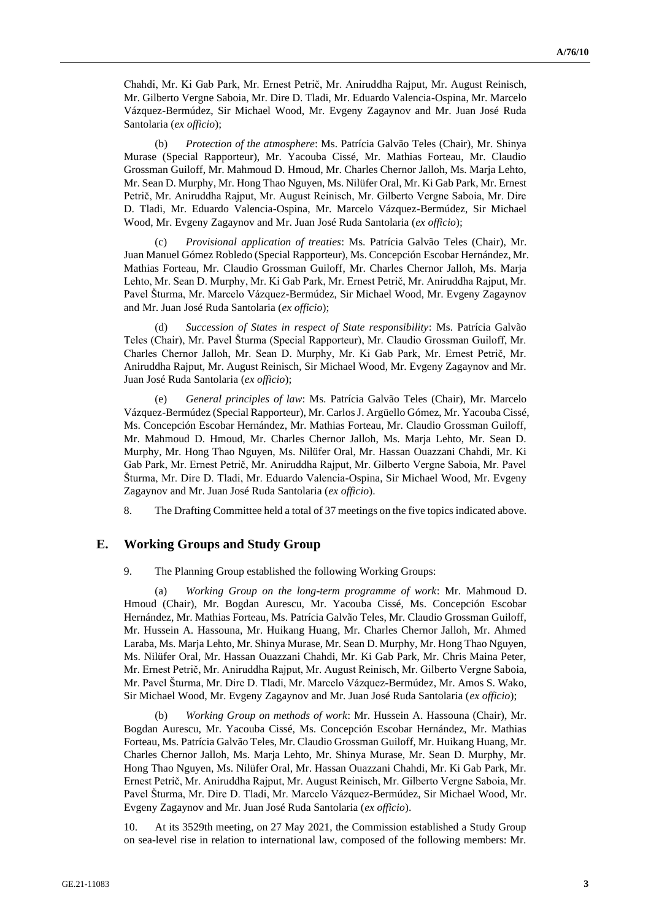Chahdi, Mr. Ki Gab Park, Mr. Ernest Petrič, Mr. Aniruddha Rajput, Mr. August Reinisch, Mr. Gilberto Vergne Saboia, Mr. Dire D. Tladi, Mr. Eduardo Valencia-Ospina, Mr. Marcelo Vázquez-Bermúdez, Sir Michael Wood, Mr. Evgeny Zagaynov and Mr. Juan José Ruda Santolaria (*ex officio*);

(b) *Protection of the atmosphere*: Ms. Patrícia Galvão Teles (Chair), Mr. Shinya Murase (Special Rapporteur), Mr. Yacouba Cissé, Mr. Mathias Forteau, Mr. Claudio Grossman Guiloff, Mr. Mahmoud D. Hmoud, Mr. Charles Chernor Jalloh, Ms. Marja Lehto, Mr. Sean D. Murphy, Mr. Hong Thao Nguyen, Ms. Nilüfer Oral, Mr. Ki Gab Park, Mr. Ernest Petrič, Mr. Aniruddha Rajput, Mr. August Reinisch, Mr. Gilberto Vergne Saboia, Mr. Dire D. Tladi, Mr. Eduardo Valencia-Ospina, Mr. Marcelo Vázquez-Bermúdez, Sir Michael Wood, Mr. Evgeny Zagaynov and Mr. Juan José Ruda Santolaria (*ex officio*);

(c) *Provisional application of treaties*: Ms. Patrícia Galvão Teles (Chair), Mr. Juan Manuel Gómez Robledo (Special Rapporteur), Ms. Concepción Escobar Hernández, Mr. Mathias Forteau, Mr. Claudio Grossman Guiloff, Mr. Charles Chernor Jalloh, Ms. Marja Lehto, Mr. Sean D. Murphy, Mr. Ki Gab Park, Mr. Ernest Petrič, Mr. Aniruddha Rajput, Mr. Pavel Šturma, Mr. Marcelo Vázquez-Bermúdez, Sir Michael Wood, Mr. Evgeny Zagaynov and Mr. Juan José Ruda Santolaria (*ex officio*);

(d) *Succession of States in respect of State responsibility*: Ms. Patrícia Galvão Teles (Chair), Mr. Pavel Šturma (Special Rapporteur), Mr. Claudio Grossman Guiloff, Mr. Charles Chernor Jalloh, Mr. Sean D. Murphy, Mr. Ki Gab Park, Mr. Ernest Petrič, Mr. Aniruddha Rajput, Mr. August Reinisch, Sir Michael Wood, Mr. Evgeny Zagaynov and Mr. Juan José Ruda Santolaria (*ex officio*);

(e) *General principles of law*: Ms. Patrícia Galvão Teles (Chair), Mr. Marcelo Vázquez-Bermúdez (Special Rapporteur), Mr. Carlos J. Argüello Gómez, Mr. Yacouba Cissé, Ms. Concepción Escobar Hernández, Mr. Mathias Forteau, Mr. Claudio Grossman Guiloff, Mr. Mahmoud D. Hmoud, Mr. Charles Chernor Jalloh, Ms. Marja Lehto, Mr. Sean D. Murphy, Mr. Hong Thao Nguyen, Ms. Nilüfer Oral, Mr. Hassan Ouazzani Chahdi, Mr. Ki Gab Park, Mr. Ernest Petrič, Mr. Aniruddha Rajput, Mr. Gilberto Vergne Saboia, Mr. Pavel Šturma, Mr. Dire D. Tladi, Mr. Eduardo Valencia-Ospina, Sir Michael Wood, Mr. Evgeny Zagaynov and Mr. Juan José Ruda Santolaria (*ex officio*).

8. The Drafting Committee held a total of 37 meetings on the five topics indicated above.

#### **E. Working Groups and Study Group**

9. The Planning Group established the following Working Groups:

(a) *Working Group on the long-term programme of work*: Mr. Mahmoud D. Hmoud (Chair), Mr. Bogdan Aurescu, Mr. Yacouba Cissé, Ms. Concepción Escobar Hernández, Mr. Mathias Forteau, Ms. Patrícia Galvão Teles, Mr. Claudio Grossman Guiloff, Mr. Hussein A. Hassouna, Mr. Huikang Huang, Mr. Charles Chernor Jalloh, Mr. Ahmed Laraba, Ms. Marja Lehto, Mr. Shinya Murase, Mr. Sean D. Murphy, Mr. Hong Thao Nguyen, Ms. Nilüfer Oral, Mr. Hassan Ouazzani Chahdi, Mr. Ki Gab Park, Mr. Chris Maina Peter, Mr. Ernest Petrič, Mr. Aniruddha Rajput, Mr. August Reinisch, Mr. Gilberto Vergne Saboia, Mr. Pavel Šturma, Mr. Dire D. Tladi, Mr. Marcelo Vázquez-Bermúdez, Mr. Amos S. Wako, Sir Michael Wood, Mr. Evgeny Zagaynov and Mr. Juan José Ruda Santolaria (*ex officio*);

(b) *Working Group on methods of work*: Mr. Hussein A. Hassouna (Chair), Mr. Bogdan Aurescu, Mr. Yacouba Cissé, Ms. Concepción Escobar Hernández, Mr. Mathias Forteau, Ms. Patrícia Galvão Teles, Mr. Claudio Grossman Guiloff, Mr. Huikang Huang, Mr. Charles Chernor Jalloh, Ms. Marja Lehto, Mr. Shinya Murase, Mr. Sean D. Murphy, Mr. Hong Thao Nguyen, Ms. Nilüfer Oral, Mr. Hassan Ouazzani Chahdi, Mr. Ki Gab Park, Mr. Ernest Petrič, Mr. Aniruddha Rajput, Mr. August Reinisch, Mr. Gilberto Vergne Saboia, Mr. Pavel Šturma, Mr. Dire D. Tladi, Mr. Marcelo Vázquez-Bermúdez, Sir Michael Wood, Mr. Evgeny Zagaynov and Mr. Juan José Ruda Santolaria (*ex officio*).

10. At its 3529th meeting, on 27 May 2021, the Commission established a Study Group on sea-level rise in relation to international law, composed of the following members: Mr.